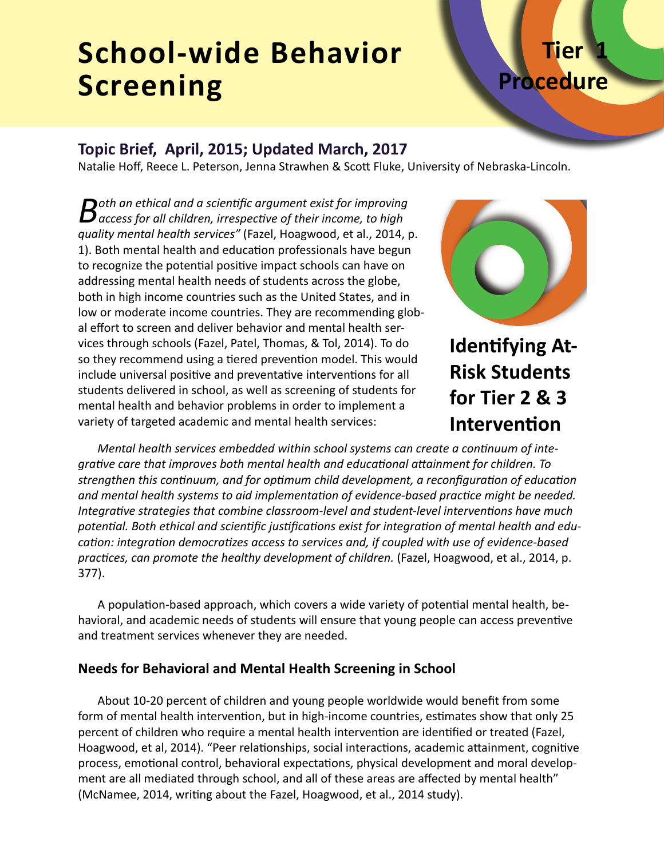## **School-wide Behavior Screening**

# **Procedure**

**Tier 1**

## **Topic Brief, April, 2015; Updated March, 2017**

Natalie Hoff, Reece L. Peterson, Jenna Strawhen & Scott Fluke, University of Nebraska-Lincoln.

**B**oth an ethical and a scientific argument exist for improving access for all children, irrespective of their income, to high *quality mental health services"* (Fazel, Hoagwood, et al., 2014, p. 1). Both mental health and education professionals have begun to recognize the potential positive impact schools can have on addressing mental health needs of students across the globe, both in high income countries such as the United States, and in low or moderate income countries. They are recommending global effort to screen and deliver behavior and mental health services through schools (Fazel, Patel, Thomas, & Tol, 2014). To do so they recommend using a tiered prevention model. This would include universal positive and preventative interventions for all students delivered in school, as well as screening of students for mental health and behavior problems in order to implement a variety of targeted academic and mental health services:



**Identifying At-Risk Students for Tier 2 & 3 Intervention**

*Mental health services embedded within school systems can create a continuum of integrative care that improves both mental health and educational attainment for children. To strengthen this continuum, and for optimum child development, a reconfiguration of education and mental health systems to aid implementation of evidence-based practice might be needed. Integrative strategies that combine classroom-level and student-level interventions have much potential. Both ethical and scientific justifications exist for integration of mental health and education: integration democratizes access to services and, if coupled with use of evidence-based practices, can promote the healthy development of children.* (Fazel, Hoagwood, et al., 2014, p. 377).

A population-based approach, which covers a wide variety of potential mental health, behavioral, and academic needs of students will ensure that young people can access preventive and treatment services whenever they are needed.

## **Needs for Behavioral and Mental Health Screening in School**

About 10-20 percent of children and young people worldwide would benefit from some form of mental health intervention, but in high-income countries, estimates show that only 25 percent of children who require a mental health intervention are identified or treated (Fazel, Hoagwood, et al, 2014). "Peer relationships, social interactions, academic attainment, cognitive process, emotional control, behavioral expectations, physical development and moral development are all mediated through school, and all of these areas are affected by mental health" (McNamee, 2014, writing about the Fazel, Hoagwood, et al., 2014 study).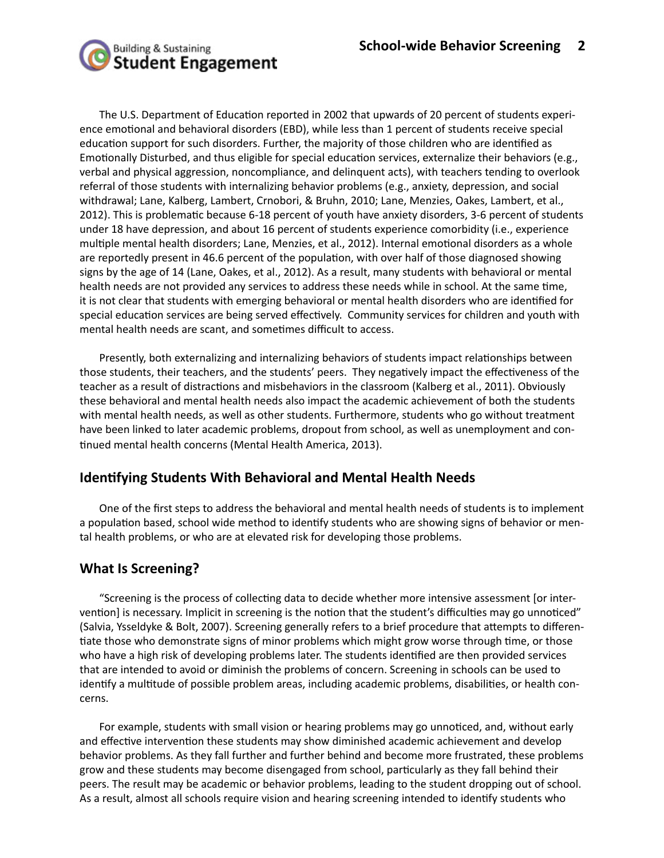

The U.S. Department of Education reported in 2002 that upwards of 20 percent of students experience emotional and behavioral disorders (EBD), while less than 1 percent of students receive special education support for such disorders. Further, the majority of those children who are identified as Emotionally Disturbed, and thus eligible for special education services, externalize their behaviors (e.g., verbal and physical aggression, noncompliance, and delinquent acts), with teachers tending to overlook referral of those students with internalizing behavior problems (e.g., anxiety, depression, and social withdrawal; Lane, Kalberg, Lambert, Crnobori, & Bruhn, 2010; Lane, Menzies, Oakes, Lambert, et al., 2012). This is problematic because 6-18 percent of youth have anxiety disorders, 3-6 percent of students under 18 have depression, and about 16 percent of students experience comorbidity (i.e., experience multiple mental health disorders; Lane, Menzies, et al., 2012). Internal emotional disorders as a whole are reportedly present in 46.6 percent of the population, with over half of those diagnosed showing signs by the age of 14 (Lane, Oakes, et al., 2012). As a result, many students with behavioral or mental health needs are not provided any services to address these needs while in school. At the same time, it is not clear that students with emerging behavioral or mental health disorders who are identified for special education services are being served effectively. Community services for children and youth with mental health needs are scant, and sometimes difficult to access.

Presently, both externalizing and internalizing behaviors of students impact relationships between those students, their teachers, and the students' peers. They negatively impact the effectiveness of the teacher as a result of distractions and misbehaviors in the classroom (Kalberg et al., 2011). Obviously these behavioral and mental health needs also impact the academic achievement of both the students with mental health needs, as well as other students. Furthermore, students who go without treatment have been linked to later academic problems, dropout from school, as well as unemployment and continued mental health concerns (Mental Health America, 2013).

## **Identifying Students With Behavioral and Mental Health Needs**

One of the first steps to address the behavioral and mental health needs of students is to implement a population based, school wide method to identify students who are showing signs of behavior or mental health problems, or who are at elevated risk for developing those problems.

#### **What Is Screening?**

"Screening is the process of collecting data to decide whether more intensive assessment [or intervention] is necessary. Implicit in screening is the notion that the student's difficulties may go unnoticed" (Salvia, Ysseldyke & Bolt, 2007). Screening generally refers to a brief procedure that attempts to differentiate those who demonstrate signs of minor problems which might grow worse through time, or those who have a high risk of developing problems later. The students identified are then provided services that are intended to avoid or diminish the problems of concern. Screening in schools can be used to identify a multitude of possible problem areas, including academic problems, disabilities, or health concerns.

For example, students with small vision or hearing problems may go unnoticed, and, without early and effective intervention these students may show diminished academic achievement and develop behavior problems. As they fall further and further behind and become more frustrated, these problems grow and these students may become disengaged from school, particularly as they fall behind their peers. The result may be academic or behavior problems, leading to the student dropping out of school. As a result, almost all schools require vision and hearing screening intended to identify students who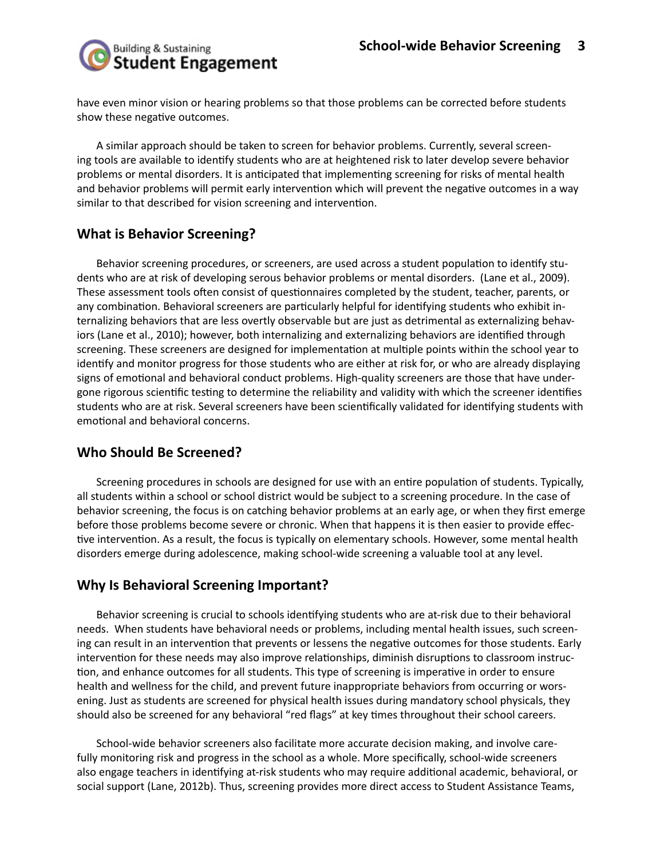

have even minor vision or hearing problems so that those problems can be corrected before students show these negative outcomes.

A similar approach should be taken to screen for behavior problems. Currently, several screening tools are available to identify students who are at heightened risk to later develop severe behavior problems or mental disorders. It is anticipated that implementing screening for risks of mental health and behavior problems will permit early intervention which will prevent the negative outcomes in a way similar to that described for vision screening and intervention.

#### **What is Behavior Screening?**

Behavior screening procedures, or screeners, are used across a student population to identify students who are at risk of developing serous behavior problems or mental disorders. (Lane et al., 2009). These assessment tools often consist of questionnaires completed by the student, teacher, parents, or any combination. Behavioral screeners are particularly helpful for identifying students who exhibit internalizing behaviors that are less overtly observable but are just as detrimental as externalizing behaviors (Lane et al., 2010); however, both internalizing and externalizing behaviors are identified through screening. These screeners are designed for implementation at multiple points within the school year to identify and monitor progress for those students who are either at risk for, or who are already displaying signs of emotional and behavioral conduct problems. High-quality screeners are those that have undergone rigorous scientific testing to determine the reliability and validity with which the screener identifies students who are at risk. Several screeners have been scientifically validated for identifying students with emotional and behavioral concerns.

#### **Who Should Be Screened?**

Screening procedures in schools are designed for use with an entire population of students. Typically, all students within a school or school district would be subject to a screening procedure. In the case of behavior screening, the focus is on catching behavior problems at an early age, or when they first emerge before those problems become severe or chronic. When that happens it is then easier to provide effective intervention. As a result, the focus is typically on elementary schools. However, some mental health disorders emerge during adolescence, making school-wide screening a valuable tool at any level.

## **Why Is Behavioral Screening Important?**

Behavior screening is crucial to schools identifying students who are at-risk due to their behavioral needs. When students have behavioral needs or problems, including mental health issues, such screening can result in an intervention that prevents or lessens the negative outcomes for those students. Early intervention for these needs may also improve relationships, diminish disruptions to classroom instruction, and enhance outcomes for all students. This type of screening is imperative in order to ensure health and wellness for the child, and prevent future inappropriate behaviors from occurring or worsening. Just as students are screened for physical health issues during mandatory school physicals, they should also be screened for any behavioral "red flags" at key times throughout their school careers.

School-wide behavior screeners also facilitate more accurate decision making, and involve carefully monitoring risk and progress in the school as a whole. More specifically, school-wide screeners also engage teachers in identifying at-risk students who may require additional academic, behavioral, or social support (Lane, 2012b). Thus, screening provides more direct access to Student Assistance Teams,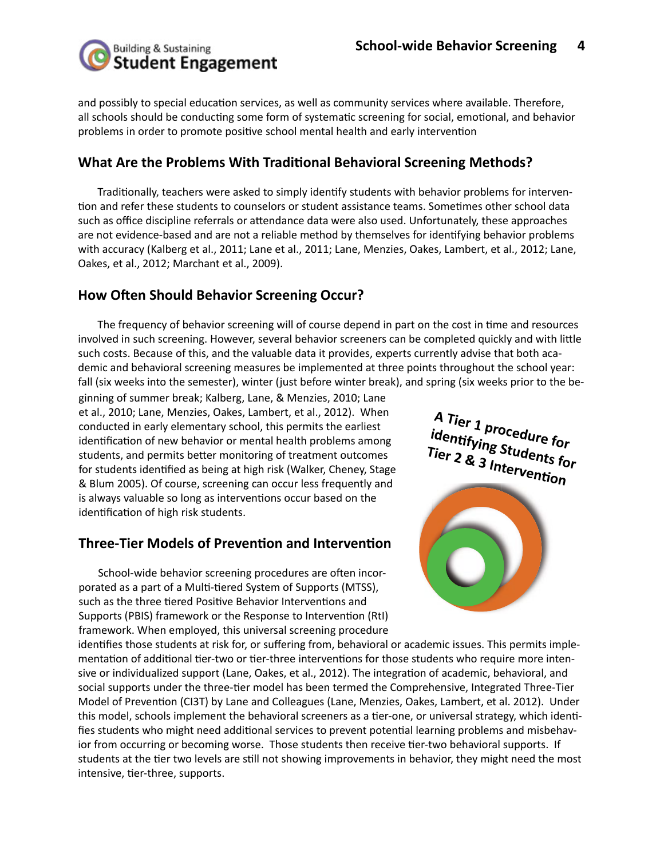

and possibly to special education services, as well as community services where available. Therefore, all schools should be conducting some form of systematic screening for social, emotional, and behavior problems in order to promote positive school mental health and early intervention

## **What Are the Problems With Traditional Behavioral Screening Methods?**

Traditionally, teachers were asked to simply identify students with behavior problems for intervention and refer these students to counselors or student assistance teams. Sometimes other school data such as office discipline referrals or attendance data were also used. Unfortunately, these approaches are not evidence-based and are not a reliable method by themselves for identifying behavior problems with accuracy (Kalberg et al., 2011; Lane et al., 2011; Lane, Menzies, Oakes, Lambert, et al., 2012; Lane, Oakes, et al., 2012; Marchant et al., 2009).

## **How Often Should Behavior Screening Occur?**

The frequency of behavior screening will of course depend in part on the cost in time and resources involved in such screening. However, several behavior screeners can be completed quickly and with little such costs. Because of this, and the valuable data it provides, experts currently advise that both academic and behavioral screening measures be implemented at three points throughout the school year: fall (six weeks into the semester), winter (just before winter break), and spring (six weeks prior to the be-

ginning of summer break; Kalberg, Lane, & Menzies, 2010; Lane et al., 2010; Lane, Menzies, Oakes, Lambert, et al., 2012). When conducted in early elementary school, this permits the earliest identification of new behavior or mental health problems among students, and permits better monitoring of treatment outcomes for students identified as being at high risk (Walker, Cheney, Stage & Blum 2005). Of course, screening can occur less frequently and is always valuable so long as interventions occur based on the identification of high risk students.

## **Three-Tier Models of Prevention and Intervention**

School-wide behavior screening procedures are often incorporated as a part of a Multi-tiered System of Supports (MTSS), such as the three tiered Positive Behavior Interventions and Supports (PBIS) framework or the Response to Intervention (RtI) framework. When employed, this universal screening procedure

**A Tier 1 procedure for identifying Students for Tier 2 & 3 Intervention**



identifies those students at risk for, or suffering from, behavioral or academic issues. This permits implementation of additional tier-two or tier-three interventions for those students who require more intensive or individualized support (Lane, Oakes, et al., 2012). The integration of academic, behavioral, and social supports under the three-tier model has been termed the Comprehensive, Integrated Three-Tier Model of Prevention (CI3T) by Lane and Colleagues (Lane, Menzies, Oakes, Lambert, et al. 2012). Under this model, schools implement the behavioral screeners as a tier-one, or universal strategy, which identifies students who might need additional services to prevent potential learning problems and misbehavior from occurring or becoming worse. Those students then receive tier-two behavioral supports. If students at the tier two levels are still not showing improvements in behavior, they might need the most intensive, tier-three, supports.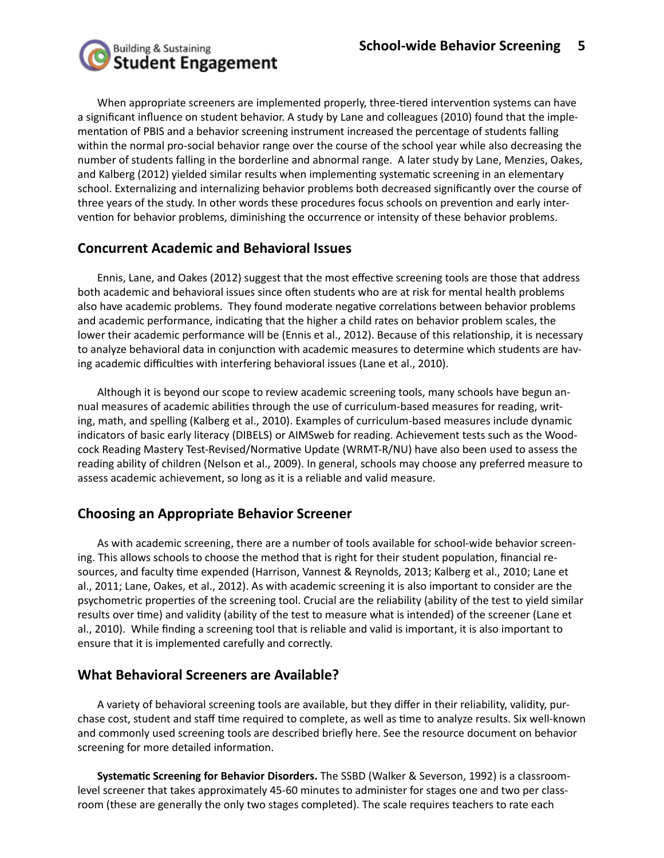

When appropriate screeners are implemented properly, three-tiered intervention systems can have a significant influence on student behavior. A study by Lane and colleagues (2010) found that the implementation of PBIS and a behavior screening instrument increased the percentage of students falling within the normal pro-social behavior range over the course of the school year while also decreasing the number of students falling in the borderline and abnormal range. A later study by Lane, Menzies, Oakes, and Kalberg (2012) yielded similar results when implementing systematic screening in an elementary school. Externalizing and internalizing behavior problems both decreased significantly over the course of three years of the study. In other words these procedures focus schools on prevention and early intervention for behavior problems, diminishing the occurrence or intensity of these behavior problems.

#### **Concurrent Academic and Behavioral Issues**

Ennis, Lane, and Oakes (2012) suggest that the most effective screening tools are those that address both academic and behavioral issues since often students who are at risk for mental health problems also have academic problems. They found moderate negative correlations between behavior problems and academic performance, indicating that the higher a child rates on behavior problem scales, the lower their academic performance will be (Ennis et al., 2012). Because of this relationship, it is necessary to analyze behavioral data in conjunction with academic measures to determine which students are having academic difficulties with interfering behavioral issues (Lane et al., 2010).

Although it is beyond our scope to review academic screening tools, many schools have begun annual measures of academic abilities through the use of curriculum-based measures for reading, writing, math, and spelling (Kalberg et al., 2010). Examples of curriculum-based measures include dynamic indicators of basic early literacy (DIBELS) or AIMSweb for reading. Achievement tests such as the Woodcock Reading Mastery Test-Revised/Normative Update (WRMT-R/NU) have also been used to assess the reading ability of children (Nelson et al., 2009). In general, schools may choose any preferred measure to assess academic achievement, so long as it is a reliable and valid measure.

## **Choosing an Appropriate Behavior Screener**

As with academic screening, there are a number of tools available for school-wide behavior screening. This allows schools to choose the method that is right for their student population, financial resources, and faculty time expended (Harrison, Vannest & Reynolds, 2013; Kalberg et al., 2010; Lane et al., 2011; Lane, Oakes, et al., 2012). As with academic screening it is also important to consider are the psychometric properties of the screening tool. Crucial are the reliability (ability of the test to yield similar results over time) and validity (ability of the test to measure what is intended) of the screener (Lane et al., 2010). While finding a screening tool that is reliable and valid is important, it is also important to ensure that it is implemented carefully and correctly.

## **What Behavioral Screeners are Available?**

A variety of behavioral screening tools are available, but they differ in their reliability, validity, purchase cost, student and staff time required to complete, as well as time to analyze results. Six well-known and commonly used screening tools are described briefly here. See the resource document on behavior screening for more detailed information.

**Systematic Screening for Behavior Disorders.** The SSBD (Walker & Severson, 1992) is a classroomlevel screener that takes approximately 45-60 minutes to administer for stages one and two per classroom (these are generally the only two stages completed). The scale requires teachers to rate each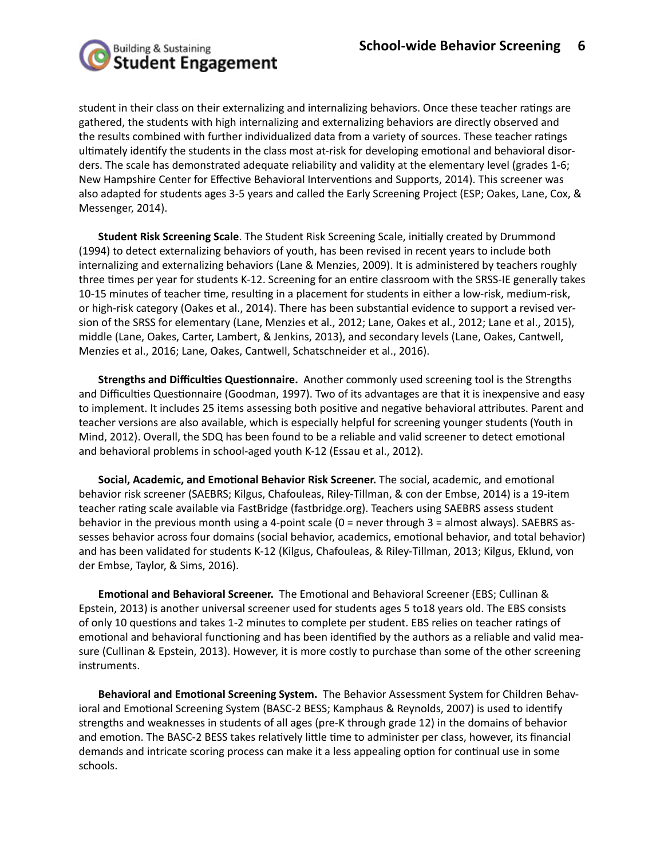

student in their class on their externalizing and internalizing behaviors. Once these teacher ratings are gathered, the students with high internalizing and externalizing behaviors are directly observed and the results combined with further individualized data from a variety of sources. These teacher ratings ultimately identify the students in the class most at-risk for developing emotional and behavioral disorders. The scale has demonstrated adequate reliability and validity at the elementary level (grades 1-6; New Hampshire Center for Effective Behavioral Interventions and Supports, 2014). This screener was also adapted for students ages 3-5 years and called the Early Screening Project (ESP; Oakes, Lane, Cox, & Messenger, 2014).

**Student Risk Screening Scale**. The Student Risk Screening Scale, initially created by Drummond (1994) to detect externalizing behaviors of youth, has been revised in recent years to include both internalizing and externalizing behaviors (Lane & Menzies, 2009). It is administered by teachers roughly three times per year for students K-12. Screening for an entire classroom with the SRSS-IE generally takes 10-15 minutes of teacher time, resulting in a placement for students in either a low-risk, medium-risk, or high-risk category (Oakes et al., 2014). There has been substantial evidence to support a revised version of the SRSS for elementary (Lane, Menzies et al., 2012; Lane, Oakes et al., 2012; Lane et al., 2015), middle (Lane, Oakes, Carter, Lambert, & Jenkins, 2013), and secondary levels (Lane, Oakes, Cantwell, Menzies et al., 2016; Lane, Oakes, Cantwell, Schatschneider et al., 2016).

**Strengths and Difficulties Questionnaire.** Another commonly used screening tool is the Strengths and Difficulties Questionnaire (Goodman, 1997). Two of its advantages are that it is inexpensive and easy to implement. It includes 25 items assessing both positive and negative behavioral attributes. Parent and teacher versions are also available, which is especially helpful for screening younger students (Youth in Mind, 2012). Overall, the SDQ has been found to be a reliable and valid screener to detect emotional and behavioral problems in school-aged youth K-12 (Essau et al., 2012).

**Social, Academic, and Emotional Behavior Risk Screener.** The social, academic, and emotional behavior risk screener (SAEBRS; Kilgus, Chafouleas, Riley-Tillman, & con der Embse, 2014) is a 19-item teacher rating scale available via FastBridge (fastbridge.org). Teachers using SAEBRS assess student behavior in the previous month using a 4-point scale (0 = never through 3 = almost always). SAEBRS assesses behavior across four domains (social behavior, academics, emotional behavior, and total behavior) and has been validated for students K-12 (Kilgus, Chafouleas, & Riley-Tillman, 2013; Kilgus, Eklund, von der Embse, Taylor, & Sims, 2016).

**Emotional and Behavioral Screener.** The Emotional and Behavioral Screener (EBS; Cullinan & Epstein, 2013) is another universal screener used for students ages 5 to18 years old. The EBS consists of only 10 questions and takes 1-2 minutes to complete per student. EBS relies on teacher ratings of emotional and behavioral functioning and has been identified by the authors as a reliable and valid measure (Cullinan & Epstein, 2013). However, it is more costly to purchase than some of the other screening instruments.

**Behavioral and Emotional Screening System.** The Behavior Assessment System for Children Behavioral and Emotional Screening System (BASC-2 BESS; Kamphaus & Reynolds, 2007) is used to identify strengths and weaknesses in students of all ages (pre-K through grade 12) in the domains of behavior and emotion. The BASC-2 BESS takes relatively little time to administer per class, however, its financial demands and intricate scoring process can make it a less appealing option for continual use in some schools.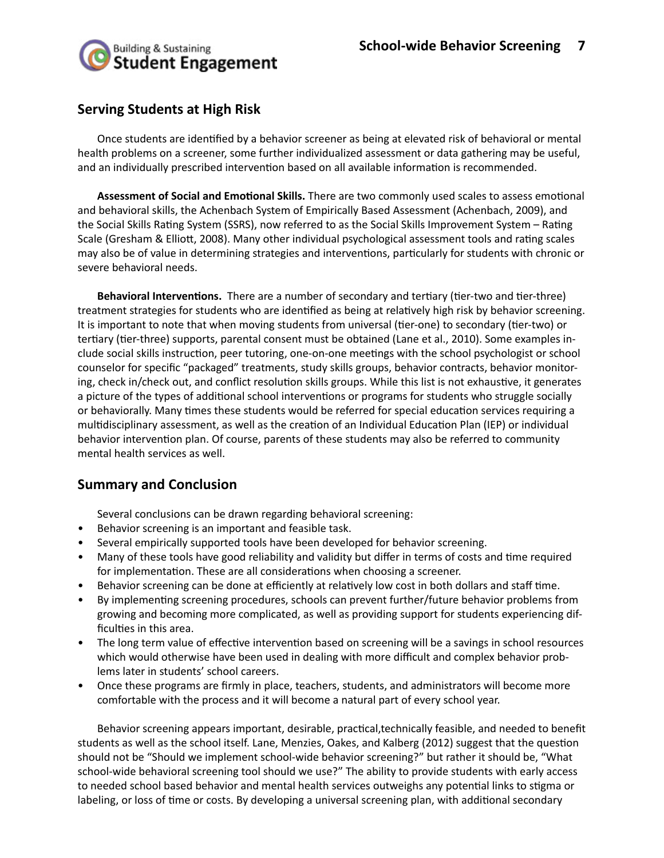

#### **Serving Students at High Risk**

Once students are identified by a behavior screener as being at elevated risk of behavioral or mental health problems on a screener, some further individualized assessment or data gathering may be useful, and an individually prescribed intervention based on all available information is recommended.

**Assessment of Social and Emotional Skills.** There are two commonly used scales to assess emotional and behavioral skills, the Achenbach System of Empirically Based Assessment (Achenbach, 2009), and the Social Skills Rating System (SSRS), now referred to as the Social Skills Improvement System – Rating Scale (Gresham & Elliott, 2008). Many other individual psychological assessment tools and rating scales may also be of value in determining strategies and interventions, particularly for students with chronic or severe behavioral needs.

**Behavioral Interventions.** There are a number of secondary and tertiary (tier-two and tier-three) treatment strategies for students who are identified as being at relatively high risk by behavior screening. It is important to note that when moving students from universal (tier-one) to secondary (tier-two) or tertiary (tier-three) supports, parental consent must be obtained (Lane et al., 2010). Some examples include social skills instruction, peer tutoring, one-on-one meetings with the school psychologist or school counselor for specific "packaged" treatments, study skills groups, behavior contracts, behavior monitoring, check in/check out, and conflict resolution skills groups. While this list is not exhaustive, it generates a picture of the types of additional school interventions or programs for students who struggle socially or behaviorally. Many times these students would be referred for special education services requiring a multidisciplinary assessment, as well as the creation of an Individual Education Plan (IEP) or individual behavior intervention plan. Of course, parents of these students may also be referred to community mental health services as well.

## **Summary and Conclusion**

Several conclusions can be drawn regarding behavioral screening:

- Behavior screening is an important and feasible task.
- Several empirically supported tools have been developed for behavior screening.
- Many of these tools have good reliability and validity but differ in terms of costs and time required for implementation. These are all considerations when choosing a screener.
- Behavior screening can be done at efficiently at relatively low cost in both dollars and staff time.
- By implementing screening procedures, schools can prevent further/future behavior problems from growing and becoming more complicated, as well as providing support for students experiencing difficulties in this area.
- The long term value of effective intervention based on screening will be a savings in school resources which would otherwise have been used in dealing with more difficult and complex behavior problems later in students' school careers.
- Once these programs are firmly in place, teachers, students, and administrators will become more comfortable with the process and it will become a natural part of every school year.

Behavior screening appears important, desirable, practical,technically feasible, and needed to benefit students as well as the school itself. Lane, Menzies, Oakes, and Kalberg (2012) suggest that the question should not be "Should we implement school-wide behavior screening?" but rather it should be, "What school-wide behavioral screening tool should we use?" The ability to provide students with early access to needed school based behavior and mental health services outweighs any potential links to stigma or labeling, or loss of time or costs. By developing a universal screening plan, with additional secondary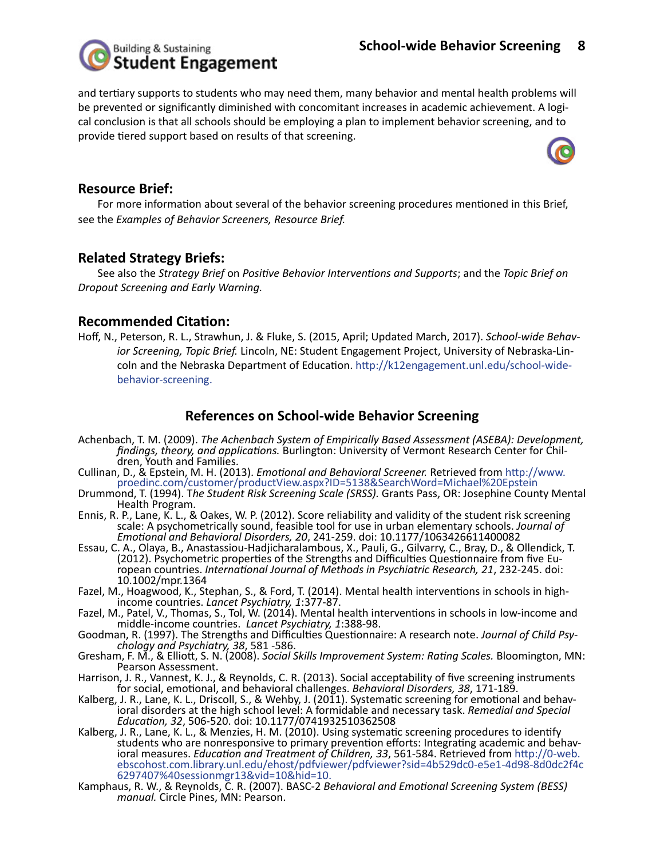

and tertiary supports to students who may need them, many behavior and mental health problems will be prevented or significantly diminished with concomitant increases in academic achievement. A logical conclusion is that all schools should be employing a plan to implement behavior screening, and to provide tiered support based on results of that screening.



#### **Resource Brief:**

For more information about several of the behavior screening procedures mentioned in this Brief, see the *Examples of Behavior Screeners, Resource Brief.* 

#### **Related Strategy Briefs:**

See also the *Strategy Brief* on *Positive Behavior Interventions and Supports*; and the *Topic Brief on Dropout Screening and Early Warning.*

#### **Recommended Citation:**

Hoff, N., Peterson, R. L., Strawhun, J. & Fluke, S. (2015, April; Updated March, 2017). *School-wide Behavior Screening, Topic Brief.* Lincoln, NE: Student Engagement Project, University of Nebraska-Lincoln and the Nebraska Department of Education. http://k12engagement.unl.edu/school-widebehavior-screening.

#### **References on School-wide Behavior Screening**

- Achenbach, T. M. (2009). *The Achenbach System of Empirically Based Assessment (ASEBA): Development, findings, theory, and applications.* Burlington: University of Vermont Research Center for Chil- dren, Youth and Families.
- Cullinan, D., & Epstein, M. H. (2013). *Emotional and Behavioral Screener.* Retrieved from http://www. proedinc.com/customer/productView.aspx?ID=5138&SearchWord=Michael%20Epstein
- Drummond, T. (1994). T*he Student Risk Screening Scale (SRSS).* Grants Pass, OR: Josephine County Mental Health Program.
- Ennis, R. P., Lane, K. L., & Oakes, W. P. (2012). Score reliability and validity of the student risk screening scale: A psychometrically sound, feasible tool for use in urban elementary schools. *Journal of Emotional and Behavioral Disorders, 20*, 241-259. doi: 10.1177/1063426611400082
- Essau, C. A., Olaya, B., Anastassiou-Hadjicharalambous, X., Pauli, G., Gilvarry, C., Bray, D., & Ollendick, T. (2012). Psychometric properties of the Strengths and Difficulties Questionnaire from five Eu-<br>ropean countries. *International Journal of Methods in Psychiatric Research, 21,* 232-245. doi: 10.1002/mpr.1364
- Fazel, M., Hoagwood, K., Stephan, S., & Ford, T. (2014). Mental health interventions in schools in highincome countries. *Lancet Psychiatry, 1*:377-87.
- Fazel, M., Patel, V., Thomas, S., Tol, W. (2014). Mental health interventions in schools in low-income and middle-income countries. *Lancet Psychiatry, 1*:388-98.
- Goodman, R. (1997). The Strengths and Difficulties Questionnaire: A research note. *Journal of Child Psy- chology and Psychiatry, 38*, 581 -586.
- Gresham, F. M., & Elliott, S. N. (2008). *Social Skills Improvement System: Rating Scales.* Bloomington, MN: Pearson Assessment.
- Harrison, J. R., Vannest, K. J., & Reynolds, C. R. (2013). Social acceptability of five screening instruments for social, emotional, and behavioral challenges. *Behavioral Disorders, 38*, 171-189.
- Kalberg, J. R., Lane, K. L., Driscoll, S., & Wehby, J. (2011). Systematic screening for emotional and behav- ioral disorders at the high school level: A formidable and necessary task. *Remedial and Special Education, 32*, 506-520. doi: 10.1177/0741932510362508
- Kalberg, J. R., Lane, K. L., & Menzies, H. M. (2010). Using systematic screening procedures to identify students who are nonresponsive to primary prevention efforts: Integrating academic and behav- ioral measures. *Education and Treatment of Children, 33*, 561-584. Retrieved from http://0-web. ebscohost.com.library.unl.edu/ehost/pdfviewer/pdfviewer?sid=4b529dc0-e5e1-4d98-8d0dc2f4c 6297407%40sessionmgr13&vid=10&hid=10.
- Kamphaus, R. W., & Reynolds, C. R. (2007). BASC-2 *Behavioral and Emotional Screening System (BESS) manual.* Circle Pines, MN: Pearson.